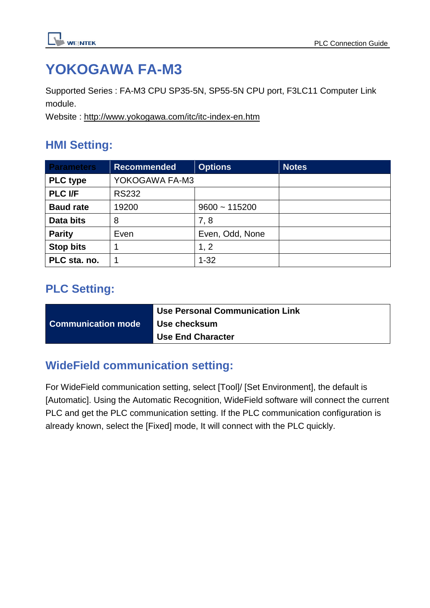

# **YOKOGAWA FA-M3**

Supported Series : FA-M3 CPU SP35-5N, SP55-5N CPU port, F3LC11 Computer Link module.

Website :<http://www.yokogawa.com/itc/itc-index-en.htm>

## **HMI Setting:**

| <b>Parameters</b> | <b>Recommended</b> | <b>Options</b>  | <b>Notes</b> |
|-------------------|--------------------|-----------------|--------------|
| <b>PLC type</b>   | YOKOGAWA FA-M3     |                 |              |
| <b>PLC I/F</b>    | <b>RS232</b>       |                 |              |
| <b>Baud rate</b>  | 19200              | $9600 - 115200$ |              |
| Data bits         | 8                  | 7, 8            |              |
| <b>Parity</b>     | Even               | Even, Odd, None |              |
| <b>Stop bits</b>  |                    | 1, 2            |              |
| PLC sta. no.      |                    | $1 - 32$        |              |

## **PLC Setting:**

|                           | <b>Use Personal Communication Link</b> |
|---------------------------|----------------------------------------|
| <b>Communication mode</b> | Use checksum                           |
|                           | <b>Use End Character</b>               |

## **WideField communication setting:**

For WideField communication setting, select [Tool]/ [Set Environment], the default is [Automatic]. Using the Automatic Recognition, WideField software will connect the current PLC and get the PLC communication setting. If the PLC communication configuration is already known, select the [Fixed] mode, It will connect with the PLC quickly.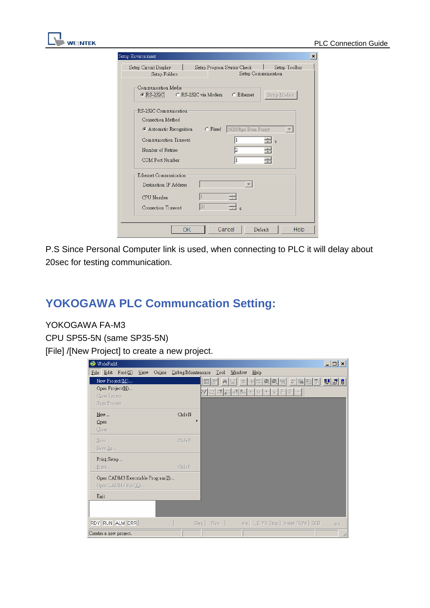| Setup Environment                                             |                                                    |                          | $\vert x \vert$          |
|---------------------------------------------------------------|----------------------------------------------------|--------------------------|--------------------------|
| Setup Circuit Display<br>Setup Folders                        | Setup Program Syntax Check                         | Setup Communication      | Setup Toolbar            |
| Communication Media<br>C RS-232C                              | C RS-232C via Modem C Ethernet                     |                          | Setup Modem              |
| RS-232C Communication<br>Connection Method                    | Automatic Recognition C Fixed 19200bps Even Parity |                          | $\overline{\phantom{a}}$ |
| Communication Timeout<br>Number of Retries<br>COM Port Number |                                                    | l2                       | <sub>s</sub>             |
| Ethernet Communication<br>Destination IP Address              |                                                    | $\overline{\phantom{a}}$ |                          |
| CPU Number<br>Connection Timeout                              | D.N                                                |                          |                          |
|                                                               | OK                                                 | Cancel<br>Default        | Help                     |

P.S Since Personal Computer link is used, when connecting to PLC it will delay about 20sec for testing communication.

## **YOKOGAWA PLC Communcation Setting:**

#### YOKOGAWA FA-M3

**WE!NTEK** 

CPU SP55-5N (same SP35-5N)

[File] /[New Project] to create a new project.

| WideField<br>$\mathbf{v}_i$                                           | $ \Box$ $\times$                                                                                                                                 |
|-----------------------------------------------------------------------|--------------------------------------------------------------------------------------------------------------------------------------------------|
| Debug/Maintenance<br>$Find(\Sigma)$<br>Online<br>Edit<br>View<br>Eile | $\mathbb{I}^{\text{ool}}$<br>Window<br>Help                                                                                                      |
| New Project(M)                                                        | $\mathbf{E}[\mathbf{F}]\mathbf{B}$<br>$=$ $+$ $+$ $+$<br>②<br>艾<br>$ \mathbf{r}_\parallel $ by $ \mathbf{r}_\parallel $<br>E<br>士<br>Q<br>唧<br>P |
| Open Project(H)                                                       | $\rightarrow$                                                                                                                                    |
| Close Project                                                         |                                                                                                                                                  |
| Saye Project                                                          |                                                                                                                                                  |
| $Ctrl+N$<br>New                                                       |                                                                                                                                                  |
| $Q$ pen                                                               |                                                                                                                                                  |
| Close                                                                 |                                                                                                                                                  |
| $Ctrl+S$<br>Save                                                      |                                                                                                                                                  |
| Save As                                                               |                                                                                                                                                  |
| Print Setup                                                           |                                                                                                                                                  |
| $Ctrl+P$<br>Print                                                     |                                                                                                                                                  |
| Open CADM3 Executable Program(I)<br>Open CADM3 File(K)                |                                                                                                                                                  |
| Exit                                                                  |                                                                                                                                                  |
|                                                                       |                                                                                                                                                  |
| RDY RUN ALM ERR                                                       | ms   LE YX Stop   Install ROM   SCB<br>Run -<br>Ster  <br>ms                                                                                     |
| Creates a new project.                                                | h                                                                                                                                                |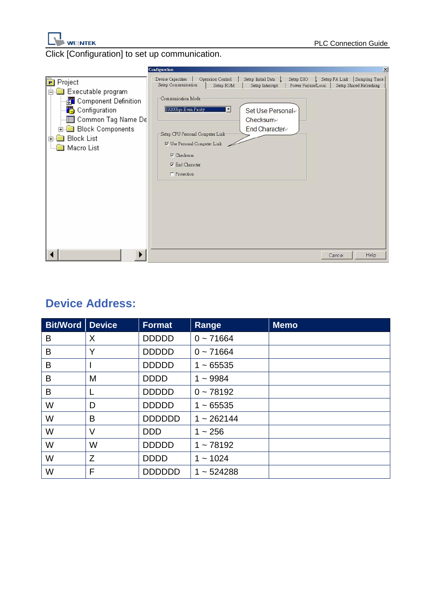

Click [Configuration] to set up communication.



## **Device Address:**

| <b>Bit/Word</b> | <b>Device</b> | <b>Format</b> | Range        | <b>Memo</b> |
|-----------------|---------------|---------------|--------------|-------------|
| B               | X             | <b>DDDDD</b>  | $0 - 71664$  |             |
| B               | Y             | <b>DDDDD</b>  | $0 - 71664$  |             |
| B               |               | <b>DDDDD</b>  | $1 - 65535$  |             |
| B               | M             | <b>DDDD</b>   | $1 - 9984$   |             |
| B               |               | <b>DDDDD</b>  | $0 - 78192$  |             |
| W               | D             | <b>DDDDD</b>  | $1 - 65535$  |             |
| W               | B             | <b>DDDDDD</b> | $1 - 262144$ |             |
| W               | V             | <b>DDD</b>    | $1 - 256$    |             |
| W               | W             | <b>DDDDD</b>  | $1 - 78192$  |             |
| W               | Z             | <b>DDDD</b>   | $1 - 1024$   |             |
| W               | F             | <b>DDDDDD</b> | $1 - 524288$ |             |